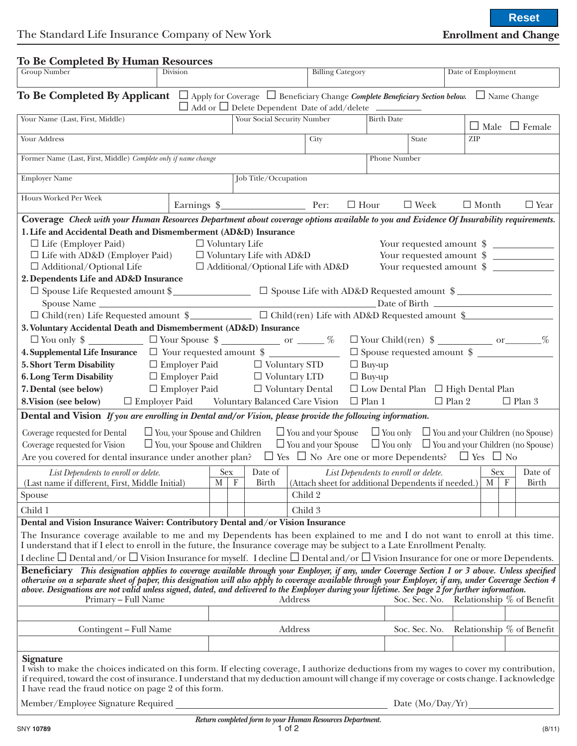| <b>To Be Completed By Human Resources</b>                                                                                                                                                                                                                                                                                                                                                                                                                    |                 |                                                                                  |                                    |                    |                                                         |                                            |                               |                           |                             |         |
|--------------------------------------------------------------------------------------------------------------------------------------------------------------------------------------------------------------------------------------------------------------------------------------------------------------------------------------------------------------------------------------------------------------------------------------------------------------|-----------------|----------------------------------------------------------------------------------|------------------------------------|--------------------|---------------------------------------------------------|--------------------------------------------|-------------------------------|---------------------------|-----------------------------|---------|
| <b>Group Number</b>                                                                                                                                                                                                                                                                                                                                                                                                                                          | <b>Division</b> |                                                                                  |                                    |                    | <b>Billing Category</b>                                 |                                            | Date of Employment            |                           |                             |         |
| <b>To Be Completed By Applicant</b> $\Box$ Apply for Coverage $\Box$ Beneficiary Change Complete Beneficiary Section below. $\Box$ Name Change<br>$\Box$ Add or $\Box$ Delete Dependent Date of add/delete ______                                                                                                                                                                                                                                            |                 |                                                                                  |                                    |                    |                                                         |                                            |                               |                           |                             |         |
| Your Name (Last, First, Middle)                                                                                                                                                                                                                                                                                                                                                                                                                              |                 |                                                                                  | <b>Your Social Security Number</b> |                    | <b>Birth Date</b>                                       |                                            |                               | $\Box$ Male $\Box$ Female |                             |         |
| Your Address                                                                                                                                                                                                                                                                                                                                                                                                                                                 |                 |                                                                                  |                                    | City               |                                                         | State                                      |                               | ZIP                       |                             |         |
| Former Name (Last, First, Middle) Complete only if name change                                                                                                                                                                                                                                                                                                                                                                                               |                 |                                                                                  |                                    |                    |                                                         | Phone Number                               |                               |                           |                             |         |
| <b>Employer Name</b>                                                                                                                                                                                                                                                                                                                                                                                                                                         |                 |                                                                                  | Job Title/Occupation               |                    |                                                         |                                            |                               |                           |                             |         |
| Hours Worked Per Week                                                                                                                                                                                                                                                                                                                                                                                                                                        |                 |                                                                                  | $\Box$ Hour                        |                    |                                                         | $\Box$ Week<br>$\Box$ Month<br>$\Box$ Year |                               |                           |                             |         |
| Coverage Check with your Human Resources Department about coverage options available to you and Evidence Of Insurability requirements.                                                                                                                                                                                                                                                                                                                       |                 |                                                                                  |                                    |                    |                                                         |                                            |                               |                           |                             |         |
| 1. Life and Accidental Death and Dismemberment (AD&D) Insurance                                                                                                                                                                                                                                                                                                                                                                                              |                 |                                                                                  |                                    |                    |                                                         |                                            |                               |                           |                             |         |
| $\Box$ Life (Employer Paid)<br>$\Box$ Voluntary Life<br>Your requested amount \$                                                                                                                                                                                                                                                                                                                                                                             |                 |                                                                                  |                                    |                    |                                                         |                                            |                               |                           |                             |         |
| $\square$ Life with AD&D (Employer Paid) $\square$ Voluntary Life with AD&D                                                                                                                                                                                                                                                                                                                                                                                  |                 |                                                                                  |                                    |                    |                                                         |                                            | Your requested amount $\ \ \$ |                           |                             |         |
| $\Box$ Additional/Optional Life                                                                                                                                                                                                                                                                                                                                                                                                                              |                 | $\Box$ Additional/Optional Life with AD&D<br>Your requested amount $\ \ \$       |                                    |                    |                                                         |                                            |                               |                           |                             |         |
| 2. Dependents Life and AD&D Insurance                                                                                                                                                                                                                                                                                                                                                                                                                        |                 |                                                                                  |                                    |                    |                                                         |                                            |                               |                           |                             |         |
|                                                                                                                                                                                                                                                                                                                                                                                                                                                              |                 |                                                                                  |                                    |                    |                                                         |                                            |                               |                           |                             |         |
|                                                                                                                                                                                                                                                                                                                                                                                                                                                              |                 | □ Spouse Life Requested amount \$<br>□ Spouse Life with AD&D Requested amount \$ |                                    |                    |                                                         |                                            |                               |                           |                             |         |
| □ Child(ren) Life Requested amount \$<br>□ Child(ren) Life with AD&D Requested amount \$                                                                                                                                                                                                                                                                                                                                                                     |                 |                                                                                  |                                    |                    |                                                         |                                            |                               |                           |                             |         |
| 3. Voluntary Accidental Death and Dismemberment (AD&D) Insurance                                                                                                                                                                                                                                                                                                                                                                                             |                 |                                                                                  |                                    |                    |                                                         |                                            |                               |                           |                             |         |
| $\Box$ You only $\frac{1}{2}$ $\Box$ Your Spouse $\frac{1}{2}$ $\Box$ Or $\Box$ %                                                                                                                                                                                                                                                                                                                                                                            |                 |                                                                                  |                                    |                    | $\hfill\Box$ Your Child<br>(ren) $\hfill\$              |                                            |                               |                           |                             |         |
| $\Box$<br>Spouse requested amount $\ \ \$<br>4. Supplemental Life Insurance □ Your requested amount \$                                                                                                                                                                                                                                                                                                                                                       |                 |                                                                                  |                                    |                    |                                                         |                                            |                               |                           |                             |         |
| $\Box$ Employer Paid $\Box$ Voluntary STD<br>$\Box$ Buy-up<br>5. Short Term Disability                                                                                                                                                                                                                                                                                                                                                                       |                 |                                                                                  |                                    |                    |                                                         |                                            |                               |                           |                             |         |
| $\Box$ Employer Paid $\Box$ Voluntary LTD<br><b>6. Long Term Disability</b><br>$\Box$ Buy-up                                                                                                                                                                                                                                                                                                                                                                 |                 |                                                                                  |                                    |                    |                                                         |                                            |                               |                           |                             |         |
| $\square$ Employer Paid $\square$ Voluntary Dental<br>7. Dental (see below)<br>$\Box$ Low Dental Plan $\Box$ High Dental Plan                                                                                                                                                                                                                                                                                                                                |                 |                                                                                  |                                    |                    |                                                         |                                            |                               |                           |                             |         |
| 8. Vision (see below) □ Employer Paid Voluntary Balanced Care Vision                                                                                                                                                                                                                                                                                                                                                                                         |                 |                                                                                  |                                    |                    | $\Box$ Plan 1                                           |                                            |                               |                           | $\Box$ Plan 2 $\Box$ Plan 3 |         |
|                                                                                                                                                                                                                                                                                                                                                                                                                                                              |                 |                                                                                  |                                    |                    |                                                         |                                            |                               |                           |                             |         |
| Dental and Vision If you are enrolling in Dental and/or Vision, please provide the following information.                                                                                                                                                                                                                                                                                                                                                    |                 |                                                                                  |                                    |                    |                                                         |                                            |                               |                           |                             |         |
| Coverage requested for Dental $\Box$ You, your Spouse and Children $\Box$ You and your Spouse $\Box$ You only $\Box$ You and your Children (no Spouse)                                                                                                                                                                                                                                                                                                       |                 |                                                                                  |                                    |                    |                                                         |                                            |                               |                           |                             |         |
| $\Box$ You, your Spouse and Children $\Box$ You and your Spouse $\Box$ You only $\Box$ You and your Children (no Spouse)<br>Coverage requested for Vision                                                                                                                                                                                                                                                                                                    |                 |                                                                                  |                                    |                    |                                                         |                                            |                               |                           |                             |         |
| Are you covered for dental insurance under another plan? $\Box$ Yes $\Box$ No Are one or more Dependents? $\Box$ Yes $\Box$ No                                                                                                                                                                                                                                                                                                                               |                 |                                                                                  |                                    |                    |                                                         |                                            |                               |                           |                             |         |
|                                                                                                                                                                                                                                                                                                                                                                                                                                                              |                 |                                                                                  |                                    |                    |                                                         |                                            |                               |                           |                             |         |
| List Dependents to enroll or delete.                                                                                                                                                                                                                                                                                                                                                                                                                         |                 | Sex<br>$\overline{\phantom{a}}$<br>M                                             | Date of                            |                    | List Dependents to enroll or delete.                    |                                            |                               | Sex                       |                             | Date of |
| (Last name if different, First, Middle Initial)                                                                                                                                                                                                                                                                                                                                                                                                              |                 |                                                                                  | Birth<br>$\mathbf{F}$              |                    | (Attach sheet for additional Dependents if needed.)   M |                                            |                               |                           | $\mathbf{F}$                | Birth   |
| Spouse<br>Child 1                                                                                                                                                                                                                                                                                                                                                                                                                                            |                 |                                                                                  |                                    | Child 2<br>Child 3 |                                                         |                                            |                               |                           |                             |         |
|                                                                                                                                                                                                                                                                                                                                                                                                                                                              |                 |                                                                                  |                                    |                    |                                                         |                                            |                               |                           |                             |         |
| Dental and Vision Insurance Waiver: Contributory Dental and/or Vision Insurance<br>The Insurance coverage available to me and my Dependents has been explained to me and I do not want to enroll at this time.                                                                                                                                                                                                                                               |                 |                                                                                  |                                    |                    |                                                         |                                            |                               |                           |                             |         |
| I understand that if I elect to enroll in the future, the Insurance coverage may be subject to a Late Enrollment Penalty.<br>I decline $\Box$ Dental and/or $\Box$ Vision Insurance for myself. I decline $\Box$ Dental and/or $\Box$ Vision Insurance for one or more Dependents.                                                                                                                                                                           |                 |                                                                                  |                                    |                    |                                                         |                                            |                               |                           |                             |         |
|                                                                                                                                                                                                                                                                                                                                                                                                                                                              |                 |                                                                                  |                                    |                    |                                                         |                                            |                               |                           |                             |         |
| Beneficiary This designation applies to coverage available through your Employer, if any, under Coverage Section 1 or 3 above. Unless specified<br>otherwise on a separate sheet of paper, this designation will also apply to coverage available through your Employer, if any, under Coverage Section 4<br>above. Designations are not valid unless signed, dated, and delivered to the Employer during your lifetime. See page 2 for further information. |                 |                                                                                  |                                    |                    |                                                         |                                            |                               |                           |                             |         |
| Primary - Full Name                                                                                                                                                                                                                                                                                                                                                                                                                                          |                 |                                                                                  | Address                            |                    |                                                         | Soc. Sec. No. Relationship % of Benefit    |                               |                           |                             |         |
|                                                                                                                                                                                                                                                                                                                                                                                                                                                              |                 |                                                                                  |                                    |                    |                                                         |                                            |                               |                           |                             |         |
| Contingent – Full Name                                                                                                                                                                                                                                                                                                                                                                                                                                       |                 |                                                                                  | Address                            |                    |                                                         | Soc. Sec. No.                              |                               |                           | Relationship % of Benefit   |         |
|                                                                                                                                                                                                                                                                                                                                                                                                                                                              |                 |                                                                                  |                                    |                    |                                                         |                                            |                               |                           |                             |         |
| <b>Signature</b>                                                                                                                                                                                                                                                                                                                                                                                                                                             |                 |                                                                                  |                                    |                    |                                                         |                                            |                               |                           |                             |         |
| I wish to make the choices indicated on this form. If electing coverage, I authorize deductions from my wages to cover my contribution,<br>if required, toward the cost of insurance. I understand that my deduction amount will change if my coverage or costs change. I acknowledge                                                                                                                                                                        |                 |                                                                                  |                                    |                    |                                                         |                                            |                               |                           |                             |         |
| I have read the fraud notice on page 2 of this form.                                                                                                                                                                                                                                                                                                                                                                                                         |                 |                                                                                  |                                    |                    |                                                         |                                            |                               |                           |                             |         |
| Member/Employee Signature Required                                                                                                                                                                                                                                                                                                                                                                                                                           |                 |                                                                                  |                                    |                    |                                                         | Date $(Mo/Day/Yr)$                         |                               |                           |                             |         |